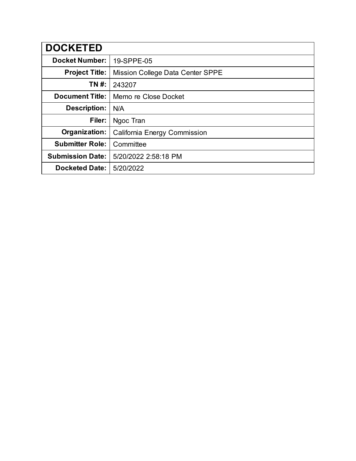| <b>DOCKETED</b>         |                                     |
|-------------------------|-------------------------------------|
| <b>Docket Number:</b>   | 19-SPPE-05                          |
| <b>Project Title:</b>   | Mission College Data Center SPPE    |
| TN #:                   | 243207                              |
| <b>Document Title:</b>  | Memo re Close Docket                |
| <b>Description:</b>     | N/A                                 |
| Filer:                  | Ngoc Tran                           |
| Organization:           | <b>California Energy Commission</b> |
| <b>Submitter Role:</b>  | Committee                           |
| <b>Submission Date:</b> | 5/20/2022 2:58:18 PM                |
| <b>Docketed Date:</b>   | 5/20/2022                           |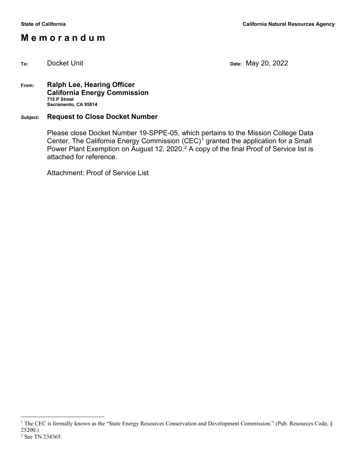### **M e m o r a n d u m**

**To:** Docket Unit **Date:** May 20, 2022

#### **From: Ralph Lee, Hearing Officer California Energy Commission 715 P Street Sacramento, CA 95814**

#### **Subject: Request to Close Docket Number**

Please close Docket Number 19-SPPE-05, which pertains to the Mission College Data Center. The California Energy Commission  $(CEC)^{1}$  $(CEC)^{1}$  $(CEC)^{1}$  granted the application for a Small Power Plant Exemption on August 1[2](#page-1-1), 2020.<sup>2</sup> A copy of the final Proof of Service list is attached for reference.

Attachment: Proof of Service List

<span id="page-1-1"></span><span id="page-1-0"></span><sup>&</sup>lt;sup>1</sup> The CEC is formally known as the "State Energy Resources Conservation and Development Commission." (Pub. Resources Code,  $\S$ 25200.) <sup>2</sup> See TN 234365.